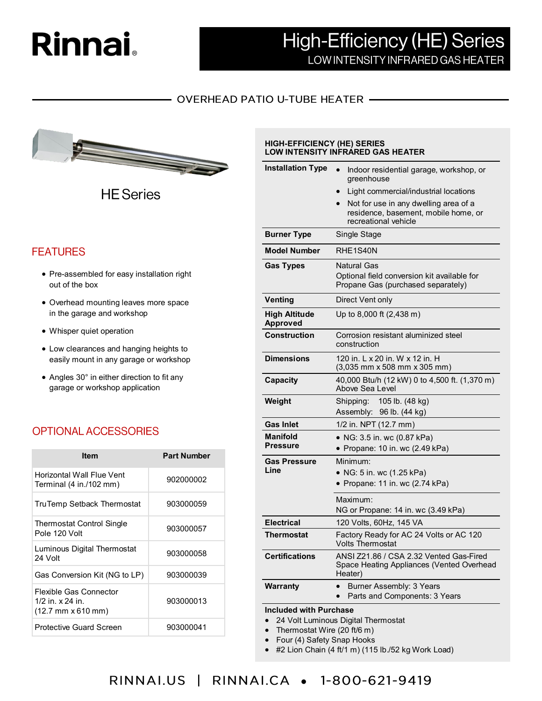# **Rinnai**

## **High-Efficiency (HE) Series** LOW INTENSITY INFRARED GAS HEATER

#### **OVERHEAD PATIO U-TUBE HEATER -**



**HE** Series

### **FEATURES**

- Pre-assembled for easy installation right out of the box
- Overhead mounting leaves more space in the garage and workshop
- Whisper quiet operation
- Low clearances and hanging heights to easily mount in any garage or workshop
- Angles 30° in either direction to fit any garage or workshop application

## **OPTIONAL ACCESSORIES**

| <b>Item</b>                                                                                 | <b>Part Number</b> |  |  |
|---------------------------------------------------------------------------------------------|--------------------|--|--|
| Horizontal Wall Flue Vent<br>Terminal (4 in./102 mm)                                        | 902000002          |  |  |
| TruTemp Setback Thermostat                                                                  | 903000059          |  |  |
| Thermostat Control Single<br>Pole 120 Volt                                                  | 903000057          |  |  |
| Luminous Digital Thermostat<br>24 Volt                                                      | 903000058          |  |  |
| Gas Conversion Kit (NG to LP)                                                               | 903000039          |  |  |
| Flexible Gas Connector<br>1/2 in. x 24 in.<br>$(12.7 \, \text{mm} \times 610 \, \text{mm})$ | 903000013          |  |  |
| <b>Protective Guard Screen</b>                                                              | 903000041          |  |  |

#### **HIGH-EFFICIENCY (HE) SERIES LOW INTENSITY INFRARED GAS HEATER**

| <b>Installation Type</b>                                        | Indoor residential garage, workshop, or<br>$\bullet$<br>greenhouse                              |  |  |  |  |  |
|-----------------------------------------------------------------|-------------------------------------------------------------------------------------------------|--|--|--|--|--|
|                                                                 | Light commercial/industrial locations<br>$\bullet$                                              |  |  |  |  |  |
|                                                                 | Not for use in any dwelling area of a<br>$\bullet$                                              |  |  |  |  |  |
|                                                                 | residence, basement, mobile home, or<br>recreational vehicle                                    |  |  |  |  |  |
| <b>Burner Type</b>                                              | Single Stage                                                                                    |  |  |  |  |  |
| <b>Model Number</b>                                             | RHE1S40N                                                                                        |  |  |  |  |  |
| <b>Gas Types</b>                                                | Natural Gas                                                                                     |  |  |  |  |  |
|                                                                 | Optional field conversion kit available for<br>Propane Gas (purchased separately)               |  |  |  |  |  |
| Venting                                                         | Direct Vent only                                                                                |  |  |  |  |  |
| <b>High Altitude</b><br><b>Approved</b>                         | Up to 8,000 ft (2,438 m)                                                                        |  |  |  |  |  |
| <b>Construction</b>                                             | Corrosion resistant aluminized steel<br>construction                                            |  |  |  |  |  |
| <b>Dimensions</b>                                               | 120 in. L x 20 in. W x 12 in. H<br>$(3,035$ mm x 508 mm x 305 mm)                               |  |  |  |  |  |
| <b>Capacity</b>                                                 | 40,000 Btu/h (12 kW) 0 to 4,500 ft. (1,370 m)<br>Above Sea Level                                |  |  |  |  |  |
| Weight                                                          | 105 lb. (48 kg)<br>Shipping:<br>Assembly: 96 lb. (44 kg)                                        |  |  |  |  |  |
| <b>Gas Inlet</b>                                                | 1/2 in. NPT (12.7 mm)                                                                           |  |  |  |  |  |
| Manifold                                                        | • NG: 3.5 in. wc (0.87 kPa)                                                                     |  |  |  |  |  |
| <b>Pressure</b>                                                 | • Propane: 10 in. wc (2.49 kPa)                                                                 |  |  |  |  |  |
| Gas Pressure                                                    | Minimum:                                                                                        |  |  |  |  |  |
| Line                                                            | • NG: 5 in. wc (1.25 kPa)                                                                       |  |  |  |  |  |
|                                                                 | • Propane: 11 in. wc (2.74 kPa)                                                                 |  |  |  |  |  |
|                                                                 | Maximum:                                                                                        |  |  |  |  |  |
|                                                                 | NG or Propane: 14 in. wc (3.49 kPa)                                                             |  |  |  |  |  |
| <b>Electrical</b>                                               | 120 Volts, 60Hz, 145 VA                                                                         |  |  |  |  |  |
| Thermostat                                                      | Factory Ready for AC 24 Volts or AC 120<br><b>Volts Thermostat</b>                              |  |  |  |  |  |
| <b>Certifications</b>                                           | ANSI Z21.86 / CSA 2.32 Vented Gas-Fired<br>Space Heating Appliances (Vented Overhead<br>Heater) |  |  |  |  |  |
| <b>Warranty</b>                                                 | Burner Assembly: 3 Years<br>Parts and Components: 3 Years                                       |  |  |  |  |  |
| <b>Included with Purchase</b>                                   |                                                                                                 |  |  |  |  |  |
| 24 Volt Luminous Digital Thermostat                             |                                                                                                 |  |  |  |  |  |
| Thermostat Wire (20 ft/6 m)<br>Four (4) Safety Snap Hooks       |                                                                                                 |  |  |  |  |  |
| #2 Lion Chain (4 ft/1 m) (115 lb./52 kg Work Load)<br>$\bullet$ |                                                                                                 |  |  |  |  |  |